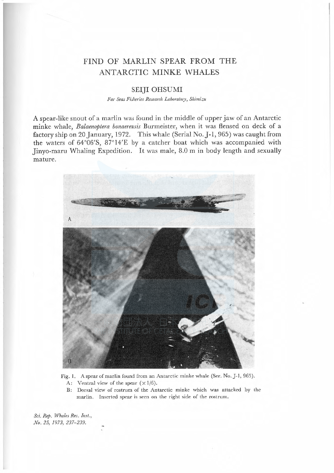# FIND OF MARLIN SPEAR FROM THE ANTARCTIC MINKE WHALES

## SEIJI OHSUMI

Far Seas Fisheries Research Laboratory, Shimizu

A spear-like snout of a marlin was found in the middle of upper jaw of an Antarctic minke whale, Balaenoptera bonaerensis Burmeister, when it was flensed on deck of a factory ship on 20 January, 1972. This whale (Serial No. J-1, 965) was caught from the waters of 64°06'S, 8714'<sup>E</sup> by a catcher boat which was accompanied with Jinyo-maru Whaling Expedition. It was male, 8.0 m in body length and sexually mature.



Fig. 1. A spear of marlin found from an Antarctic minke whale (Ser. No. J-1, 965).

- A: Ventral view of the spear  $(\times 1/6)$ .
- B: Dorsal view of rostrum of the Antarctic minke which was attacked by the marlin. Inserted spear is seen on the right side of the rostrum.

Sci. Rep. Whales Res. Inst., No. 25, 1973, 237-239.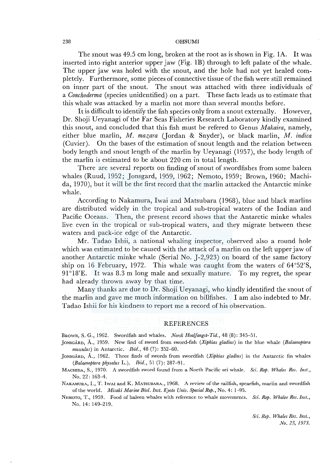#### 238 OHSUMI

The snout was 49.5 cm long, broken at the root as is shown in Fig. IA. It was inserted into right anterior upper jaw (Fig. IB) through to left palate of the whale. The upper jaw was holed with the snout, and the hole had not yet healed completely. Furthermore, some pieces of connective tissue of the fish were still remained on inner part of the snout. The snout was attached with three individuals of a *Conchoderma* (species unidentified) on a part. These facts leads us to estimate that this whale was attacked by a marlin not more than several months before.

It is difficult to identify the fish species only from a snout externally. However, Dr. Shoji U eyanagi of the Far Seas Fisheries Research Laboratory kindly examined this snout, and concluded that this fish must be refered to Genus *Makaira,* namely, either blue marlin, *M. mazara* (Jordan & Snyder), or black marlin, *M. indica*  (Cuvier ). On the bases of the estimation of snout length and the relation between body length and snout length of the marlin by Ueyanagi (1957), the body length of the marlin is estimated to be about 220 cm in total length.

There are several reports on finding of snout of swordfishes from some baleen whales (Ruud, 1952; Jonsgard, 1959, 1962; Nemoto, 1959; Brown, 1960; Machida, 1970), but it will be the first record that the marlin attacked the Antarctic minke whale.

According to Nakamura, Iwai and Matsubara (1968), blue and black marlins are distributed widely in the tropical and sub-tropical waters of the Indian and Pacific Oceans. Then, the present record shows that the Antarctic minke whales live even in the tropical or sub-tropical waters, and they migrate between these waters and pack-ice edge of the Antarctic.

Mr. Tadao Ishii, a national whaling inspector, observed also a round hole which was estimated to be caused with the attack of a marlin on the left upper jaw of another Antarctic minke whale (Serial No. J-2,923) on board of the same factory ship on 16 February, 1972. This whale was caught from the waters of 64°52'S, 91°18'E. It was 8.3 m long male and sexually mature. To my regret, the spear had already thrown away by that time.

Many thanks are due to Dr. Shoji Ueyanagi, who kindly identified the snout of the marlin and gave me much information on billfishes. I am also indebted to Mr. Tadao Ishii for his kindness to report me a record of his observation.

### **REFERENCES**

BROWN, S. G., 1962. Swordfish and whales. *Norsk Hvaifangst-Tid.,* 48 (8): 345-51.

]ONSGARD, A., 1959. New find of sword from sword-fish *(Xiphias gladius)* in the blue whale *(Balaenoptera musculus)* in Antarctic. *Ibid.,* 48 (7): 352-60.

]ONSGARD, A., 1962. Three finds of swords from swordfish *(Xiphias gladius)* in the Antarctic fin whales *(Balaenoptera physalus* L.). *Ibid.,* 51 (7): 287-91.

MACHIDA, S., 1970. A swordfish sword found from a North Pacific sei whale. *Sci. Rep. Whales Res. Inst.,*  No. 22: 163-4.

NAKAMURA, I., T. lwAr and K. MATSUBARA., 1968. A review of the sailfish, spearfish, marlin and swordfish of the world. *Misaki Marine Biol. Inst. Kyoto Univ. Special Rep.,* No. 4: 1-95.

NEMOTo, T., 1959. Food of baleen whales with reference to whale movements. *Sci. Rep. Whales Res. Inst.,*  No. 14: 149-219.

> *Sci. Rep. Whales Res. Inst., No. 25, 1973.*